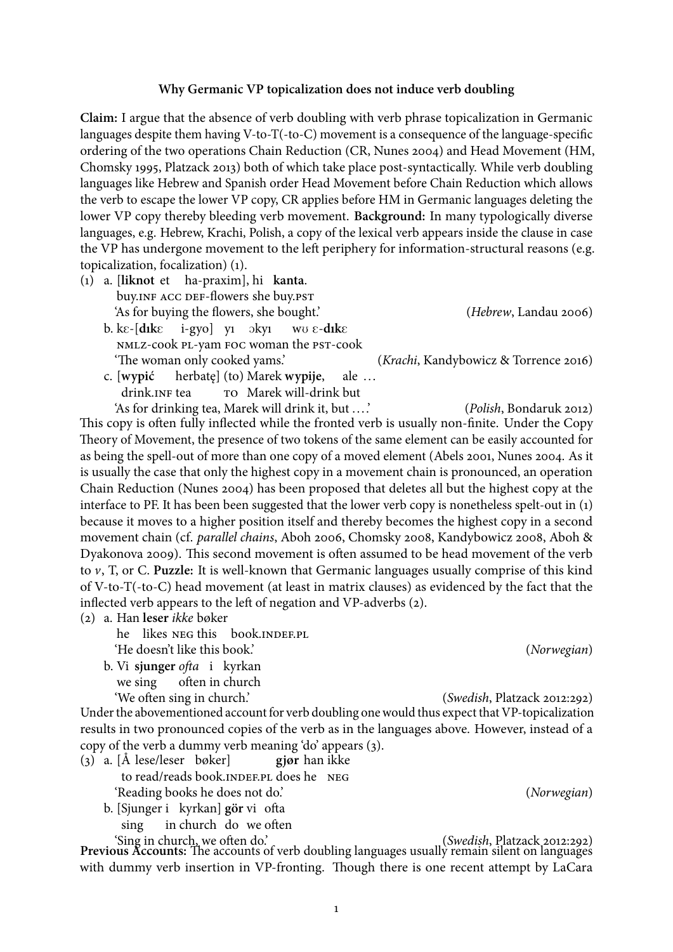## **Why Germanic VP topicalization does not induce verb doubling**

**Claim:** I argue that the absence of verb doubling with verb phrase topicalization in Germanic languages despite them having V-to- $T$ (-to- $C$ ) movement is a consequence of the language-specific ordering of the two operations Chain Reduction (CR, Nunes 2004) and Head Movement (HM, Chomsky 1995, Platzack 2013) both of which take place post-syntactically. While verb doubling languages like Hebrew and Spanish order Head Movement before Chain Reduction which allows the verb to escape the lower VP copy, CR applies before HM in Germanic languages deleting the lower VP copy thereby bleeding verb movement. **Background:** In many typologically diverse languages, e.g. Hebrew, Krachi, Polish, a copy of the lexical verb appears inside the clause in case the VP has undergone movement to the left periphery for information-structural reasons (e.g. topicalization, focalization) (1).

- (1) a. [**liknot** et ha-praxim], hi **kanta**. buy. INF ACC DEF-flowers she buy. PST 'As for buying the flowers, she bought.' (Hebrew, Landau 2006)  $b.$  k $\varepsilon$ - $d$ **ik** $\varepsilon$ i-gyo] yı əkyı
	- nmlz-cook pl-yam foc woman the pst-cook w<sub>U</sub> ε-dikε 'The woman only cooked yams.' (*Krachi*, Kandybowicz & Torrence 2016)
	- c. [**wypić** drink.INF tea herbatę] (to) Marek **wypije**, to Marek will-drink but ale .. .

'As for drinking tea, Marek will drink it, but .. ..' (Polish, Bondaruk 2012) This copy is often fully inflected while the fronted verb is usually non-finite. Under the Copy Theory of Movement, the presence of two tokens of the same element can be easily accounted for as being the spell-out of more than one copy of a moved element (Abels 2001, Nunes 2004. As it is usually the case that only the highest copy in a movement chain is pronounced, an operation Chain Reduction (Nunes 2004) has been proposed that deletes all but the highest copy at the interface to PF. It has been been suggested that the lower verb copy is nonetheless spelt-out in (1) because it moves to a higher position itself and thereby becomes the highest copy in a second movement chain (cf. parallel chains, Aboh 2006, Chomsky 2008, Kandybowicz 2008, Aboh & Dyakonova 2009). This second movement is often assumed to be head movement of the verb to v, T, or C. **Puzzle:** It is well-known that Germanic languages usually comprise of this kind of V-to-T(-to-C) head movement (at least in matrix clauses) as evidenced by the fact that the inflected verb appears to the left of negation and VP-adverbs  $(2)$ .

(2) a. Han **leser** ikke bøker

he likes NEG this book. INDEF.PL 'He doesn't like this book.' (Norwegian)

b. Vi sjunger ofta i kyrkan we sing often in church

Under the abovementioned account for verb doubling one would thus expect that VP-topicalization results in two pronounced copies of the verb as in the languages above. However, instead of a copy of the verb a dummy verb meaning 'do' appears (3).

- <span id="page-0-0"></span>(3) a. [Å lese/leser bøker] to read/reads book. INDEF.PL does he NEG **gjør** han ikke 'Reading books he does not do.' (Norwegian)
	- b. [Sjunger i kyrkan] gör vi ofta sing in church do we often

'Sing in church, we often do.' (Swedish, Platzack 2012:292) **Previous Accounts:** The accounts of verb doubling languages usually remain silent on languages with dummy verb insertion in VP-fronting. Though there is one recent attempt by LaCara

'We often sing in church.' (Swedish, Platzack 2012:292)